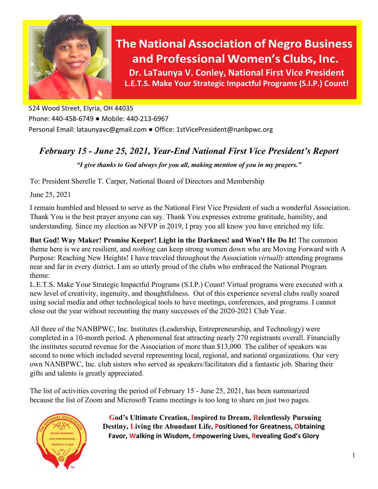

524 Wood Street, Elyria, OH 44035 Phone: 440-458-6749 ● Mobile: 440-213-6967 Personal Email: [lataunyavc@gmail.com](mailto:lataunyavc@gmail.com) ● Office[: 1stVicePresident@nanbpwc.org](mailto:1stVicePresident@nanbpwc.org)

## *February 15 - June 25, 2021, Year-End National First Vice President's Report*

*"I give thanks to God always for you all, making mention of you in my prayers."*

To: President Sherelle T. Carper, National Board of Directors and Membership

June 25, 2021

I remain humbled and blessed to serve as the National First Vice President of such a wonderful Association. Thank You is the best prayer anyone can say. Thank You expresses extreme gratitude, humility, and understanding. Since my election as NFVP in 2019, I pray you all know you have enriched my life.

**But God! Way Maker! Promise Keeper! Light in the Darkness! and Won't He Do It!** The common theme here is we are resilient, and *nothing* can keep strong women down who are Moving Forward with A Purpose: Reaching New Heights! I have traveled throughout the Association *virtually* attending programs near and far in every district. I am so utterly proud of the clubs who embraced the National Program theme:

L.E.T.S. Make Your Strategic Impactful Programs (S.I.P.) Count! Virtual programs were executed with a new level of creativity, ingenuity, and thoughtfulness. Out of this experience several clubs really soared using social media and other technological tools to have meetings, conferences, and programs. I cannot close out the year without recounting the many successes of the 2020-2021 Club Year.

All three of the NANBPWC, Inc. Institutes (Leadership, Entrepreneurship, and Technology) were completed in a 10-month period. A phenomenal feat attracting nearly 270 registrants overall. Financially the institutes secured revenue for the Association of more than \$13,000. The caliber of speakers was second to none which included several representing local, regional, and national organizations. Our very own NANBPWC, Inc. club sisters who served as speakers/facilitators did a fantastic job. Sharing their gifts and talents is greatly appreciated.

The list of activities covering the period of February 15 - June 25, 2021, has been summarized because the list of Zoom and Microsoft Teams meetings is too long to share on just two pages.



**God's Ultimate Creation, Inspired to Dream, Relentlessly Pursuing Destiny, Living the Abundant Life, Positioned for Greatness, Obtaining Favor, Walking in Wisdom, Empowering Lives, Revealing God's Glory**